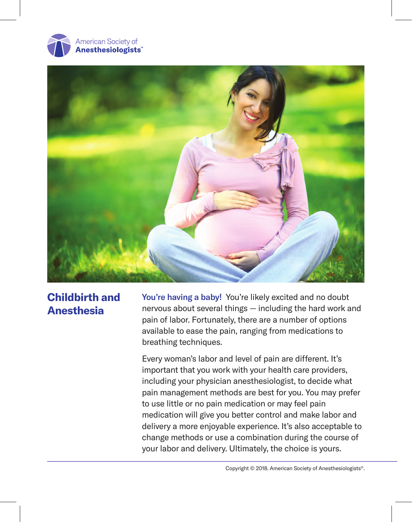



# **Childbirth and Anesthesia**

You're having a baby! You're likely excited and no doubt nervous about several things — including the hard work and pain of labor. Fortunately, there are a number of options available to ease the pain, ranging from medications to breathing techniques.

Every woman's labor and level of pain are different. It's important that you work with your health care providers, including your physician anesthesiologist, to decide what pain management methods are best for you. You may prefer to use little or no pain medication or may feel pain medication will give you better control and make labor and delivery a more enjoyable experience. It's also acceptable to change methods or use a combination during the course of your labor and delivery. Ultimately, the choice is yours.